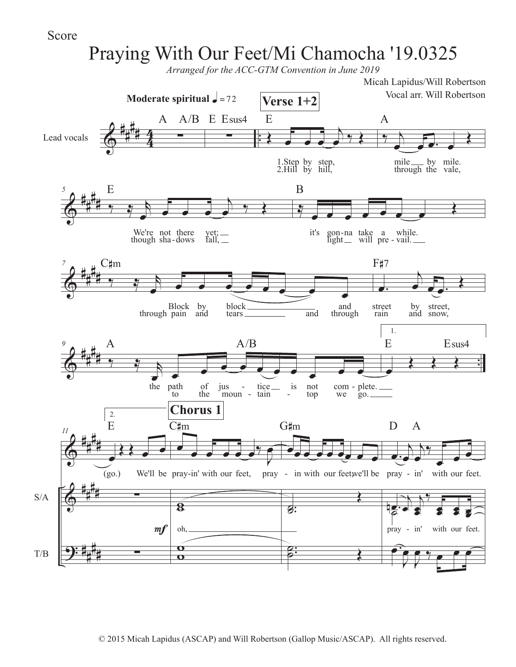## Score

T/B

## $\frac{2}{9}$ # # # 4 Lead vocals  $\begin{array}{c|c|c}\n & A & A/B & E E \text{sus4}\n\end{array}$ **Moderate spiritual**  $\frac{1}{2}$  **= 72**  $A/B$  E Esus4  $\epsilon$   $\epsilon$   $\epsilon$ j  $\frac{1}{2}$ 1. Step by step,<br>2. Hill by hill, E **Verse 1+2**  $\rightarrow$ œ œ œ. œ  $\overline{\blacklozenge}$ mile by<br>through the mile. vale, A  $\frac{2}{9}$ # # # *5*  $\frac{1}{2}$   $\frac{1}{2}$  $\begin{array}{ccc} \circ & \bullet & \bullet & \bullet \end{array}$ j  $\frac{1}{2}$ We're though not sha there yet;<br>dows fall,  $get;$ <br>fall,  $\equiv$ E ₹ <u>e e e e e e e</u> it's gon light na take will a pre while. there yet; \_\_\_ it's gon-na take a while -dows fall, \_\_ it's gon-na take a while B  $\frac{2}{9}$ # # # *7*  $rac{1}{2}$  $\begin{array}{ccc} \circ & \circ & \circ & \circ & \bullet & \bullet \end{array}$ through Block by<br>pain and and block tears and and through C#m  $\begin{pmatrix} 1 \\ 1 \\ 2 \end{pmatrix}$  $\frac{1}{2}$ . street rain by by street,<br>and snow, snow, F#7  $\frac{2}{9}$ # # # . . *9*  $\frac{1}{2}$  $\sum_{n=0}^{\infty}$ the path to of the jus jus -<br>moun tice tain is not top  $\frac{1}{2}$  - tice is not com - plete.<br>- tain - top we go. we  $g_{0}$ .  $A \tA/B$ 1. œ  $R$ E Esus4  $\bm{\bm{\phi}}$  $\bm{\bm{\phi}}$ <u>9:</u> # # # # # # # # # # # # S/A *11* 2. œ  $\mathcal{R}$  . (go.) We'll be pray in' with our feet, pray ∑ ∑ E  $m f$ œ  $\bullet$   $\bullet$   $\bullet$   $\bullet$   $\circ$   $\circ$   $\circ$ œ  $\overline{\mathbf{8}}$ oh,  $\mathbf \Omega$ C#m **Chorus 1**  $\ddot{\phantom{a}}$ -in' with our feet, pray - in with our feet, we'll be pray -.  $\frac{1}{8}$ : Œ .  $\stackrel{o}{\stackrel{\cdot}{\circ}}$ G#m  $\cdot$ œ j œ  $\overline{y}$ <sup>œ</sup> <sup>œ</sup> <sup>œ</sup> with our feet.  $\frac{1}{2}$ œ j œ **e** ‰ œ e e  $\overline{\bullet}$ œ with our feet. ˙ œ.  $\overline{\mathfrak{p}}$  $9,7$  e  $\bullet$  é D A pray - in' Praying With Our Feet/Mi Chamocha '19.0325 Micah Lapidus/Will Robertson Vocal arr. Will Robertson *Arranged for the ACC-GTM Convention in June 2019*

 $\boldsymbol{\varphi}$ 

J

 $\bullet$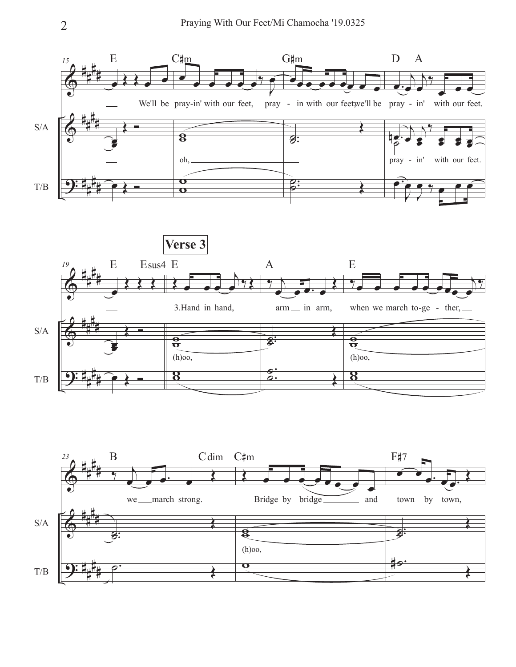



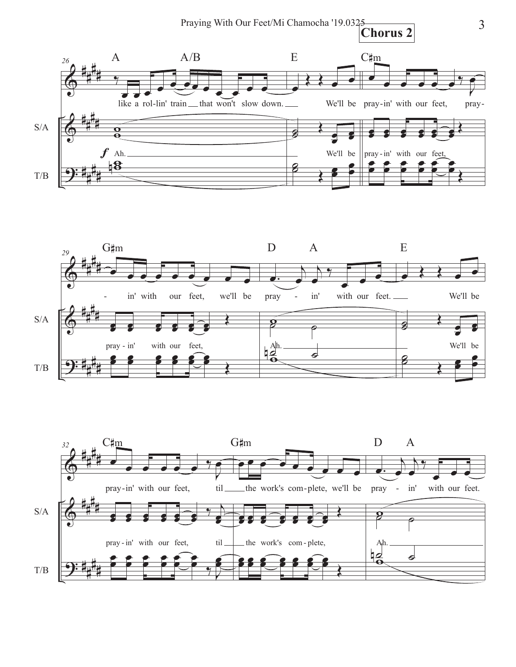





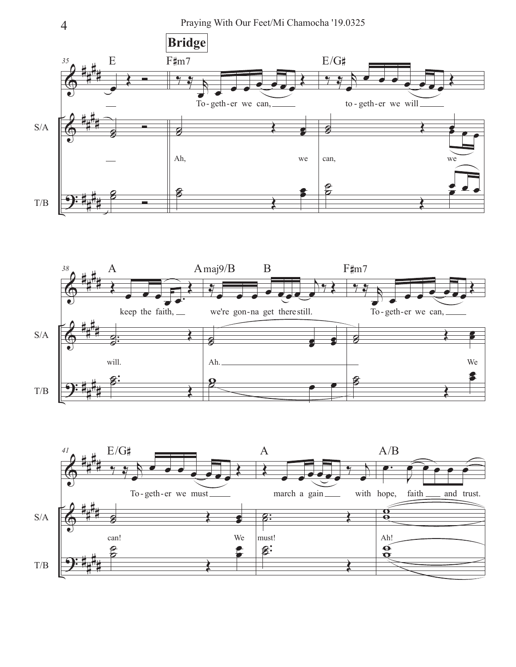4 Praying With Our Feet/Mi Chamocha '19.0325





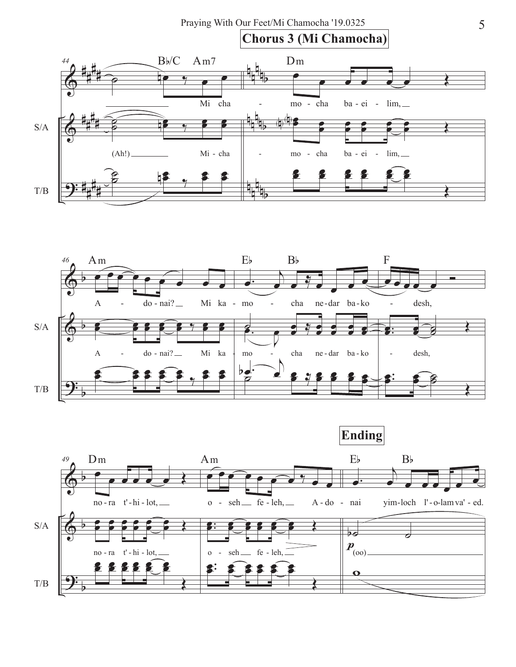